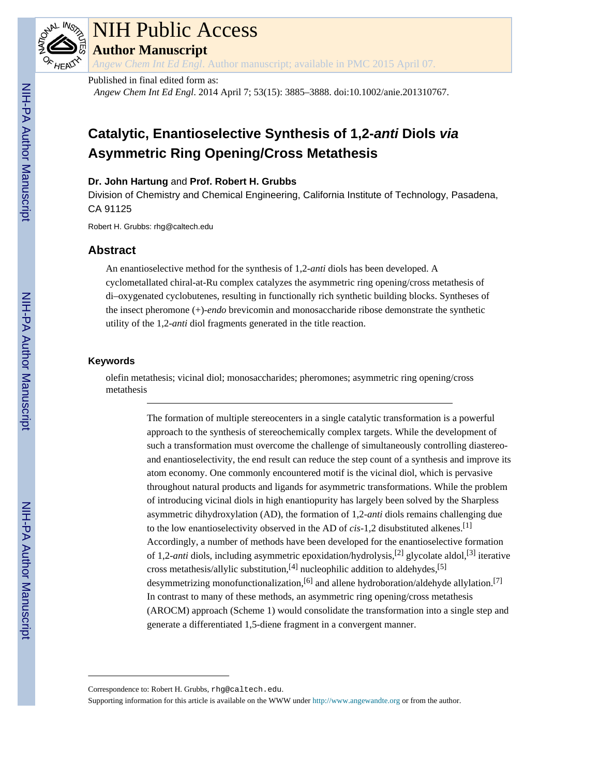

# NIH Public Access

**Author Manuscript**

*Angew Chem Int Ed Engl*. Author manuscript; available in PMC 2015 April 07.

#### Published in final edited form as:

*Angew Chem Int Ed Engl*. 2014 April 7; 53(15): 3885–3888. doi:10.1002/anie.201310767.

# **Catalytic, Enantioselective Synthesis of 1,2-anti Diols via Asymmetric Ring Opening/Cross Metathesis**

#### **Dr. John Hartung** and **Prof. Robert H. Grubbs**

Division of Chemistry and Chemical Engineering, California Institute of Technology, Pasadena, CA 91125

Robert H. Grubbs: rhg@caltech.edu

## **Abstract**

An enantioselective method for the synthesis of 1,2-*anti* diols has been developed. A cyclometallated chiral-at-Ru complex catalyzes the asymmetric ring opening/cross metathesis of di–oxygenated cyclobutenes, resulting in functionally rich synthetic building blocks. Syntheses of the insect pheromone (+)-*endo* brevicomin and monosaccharide ribose demonstrate the synthetic utility of the 1,2-*anti* diol fragments generated in the title reaction.

#### **Keywords**

olefin metathesis; vicinal diol; monosaccharides; pheromones; asymmetric ring opening/cross metathesis

> The formation of multiple stereocenters in a single catalytic transformation is a powerful approach to the synthesis of stereochemically complex targets. While the development of such a transformation must overcome the challenge of simultaneously controlling diastereoand enantioselectivity, the end result can reduce the step count of a synthesis and improve its atom economy. One commonly encountered motif is the vicinal diol, which is pervasive throughout natural products and ligands for asymmetric transformations. While the problem of introducing vicinal diols in high enantiopurity has largely been solved by the Sharpless asymmetric dihydroxylation (AD), the formation of 1,2-*anti* diols remains challenging due to the low enantioselectivity observed in the AD of *cis*-1,2 disubstituted alkenes.[1] Accordingly, a number of methods have been developed for the enantioselective formation of 1,2-*anti* diols, including asymmetric epoxidation/hydrolysis,[2] glycolate aldol,[3] iterative cross metathesis/allylic substitution, $[4]$  nucleophilic addition to aldehydes, $[5]$ desymmetrizing monofunctionalization,<sup>[6]</sup> and allene hydroboration/aldehyde allylation.<sup>[7]</sup> In contrast to many of these methods, an asymmetric ring opening/cross metathesis (AROCM) approach (Scheme 1) would consolidate the transformation into a single step and generate a differentiated 1,5-diene fragment in a convergent manner.

Correspondence to: Robert H. Grubbs, rhg@caltech.edu.

Supporting information for this article is available on the WWW under<http://www.angewandte.org> or from the author.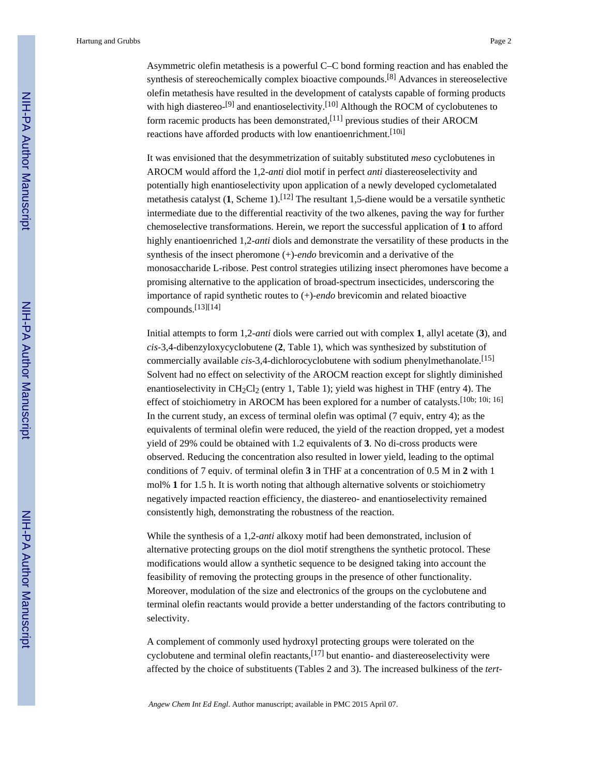Asymmetric olefin metathesis is a powerful C–C bond forming reaction and has enabled the synthesis of stereochemically complex bioactive compounds.<sup>[8]</sup> Advances in stereoselective olefin metathesis have resulted in the development of catalysts capable of forming products with high diastereo-<sup>[9]</sup> and enantioselectivity.<sup>[10]</sup> Although the ROCM of cyclobutenes to form racemic products has been demonstrated,[11] previous studies of their AROCM reactions have afforded products with low enantioenrichment.<sup>[10i]</sup>

It was envisioned that the desymmetrization of suitably substituted *meso* cyclobutenes in AROCM would afford the 1,2-*anti* diol motif in perfect *anti* diastereoselectivity and potentially high enantioselectivity upon application of a newly developed cyclometalated metathesis catalyst  $(1,$  Scheme 1).<sup>[12]</sup> The resultant 1,5-diene would be a versatile synthetic intermediate due to the differential reactivity of the two alkenes, paving the way for further chemoselective transformations. Herein, we report the successful application of **1** to afford highly enantioenriched 1,2-*anti* diols and demonstrate the versatility of these products in the synthesis of the insect pheromone (+)-*endo* brevicomin and a derivative of the monosaccharide L-ribose. Pest control strategies utilizing insect pheromones have become a promising alternative to the application of broad-spectrum insecticides, underscoring the importance of rapid synthetic routes to (+)-*endo* brevicomin and related bioactive compounds.[13][14]

Initial attempts to form 1,2-*anti* diols were carried out with complex **1**, allyl acetate (**3**), and *cis*-3,4-dibenzyloxycyclobutene (**2**, Table 1), which was synthesized by substitution of commercially available *cis*-3,4-dichlorocyclobutene with sodium phenylmethanolate.<sup>[15]</sup> Solvent had no effect on selectivity of the AROCM reaction except for slightly diminished enantioselectivity in  $CH_2Cl_2$  (entry 1, Table 1); yield was highest in THF (entry 4). The effect of stoichiometry in AROCM has been explored for a number of catalysts.<sup>[10b; 10i; 16]</sup> In the current study, an excess of terminal olefin was optimal (7 equiv, entry 4); as the equivalents of terminal olefin were reduced, the yield of the reaction dropped, yet a modest yield of 29% could be obtained with 1.2 equivalents of **3**. No di-cross products were observed. Reducing the concentration also resulted in lower yield, leading to the optimal conditions of 7 equiv. of terminal olefin **3** in THF at a concentration of 0.5 M in **2** with 1 mol% **1** for 1.5 h. It is worth noting that although alternative solvents or stoichiometry negatively impacted reaction efficiency, the diastereo- and enantioselectivity remained consistently high, demonstrating the robustness of the reaction.

While the synthesis of a 1,2-*anti* alkoxy motif had been demonstrated, inclusion of alternative protecting groups on the diol motif strengthens the synthetic protocol. These modifications would allow a synthetic sequence to be designed taking into account the feasibility of removing the protecting groups in the presence of other functionality. Moreover, modulation of the size and electronics of the groups on the cyclobutene and terminal olefin reactants would provide a better understanding of the factors contributing to selectivity.

A complement of commonly used hydroxyl protecting groups were tolerated on the cyclobutene and terminal olefin reactants,  $[17]$  but enantio- and diastereoselectivity were affected by the choice of substituents (Tables 2 and 3). The increased bulkiness of the *tert*-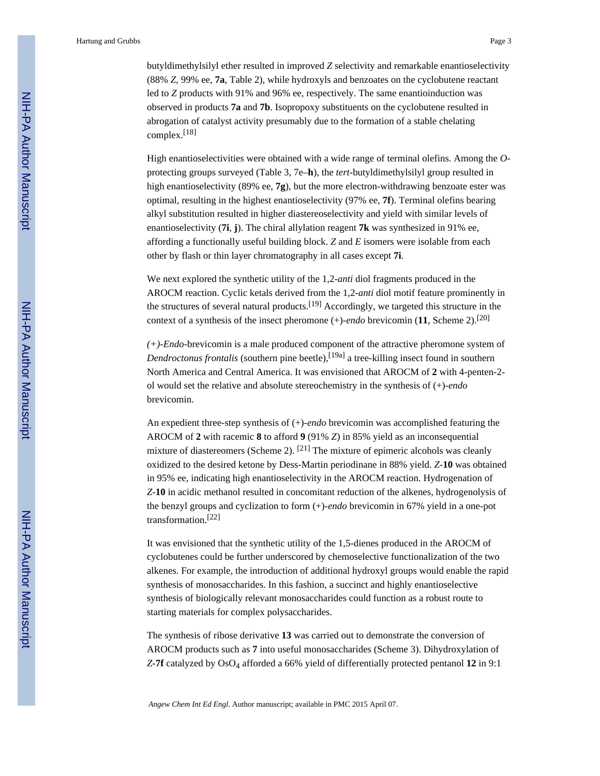butyldimethylsilyl ether resulted in improved *Z* selectivity and remarkable enantioselectivity (88% *Z*, 99% ee, **7a**, Table 2), while hydroxyls and benzoates on the cyclobutene reactant led to *Z* products with 91% and 96% ee, respectively. The same enantioinduction was observed in products **7a** and **7b**. Isopropoxy substituents on the cyclobutene resulted in abrogation of catalyst activity presumably due to the formation of a stable chelating complex.[18]

High enantioselectivities were obtained with a wide range of terminal olefins. Among the *O*protecting groups surveyed (Table 3, 7e–**h**), the *tert*-butyldimethylsilyl group resulted in high enantioselectivity (89% ee, **7g**), but the more electron-withdrawing benzoate ester was optimal, resulting in the highest enantioselectivity (97% ee, **7f**). Terminal olefins bearing alkyl substitution resulted in higher diastereoselectivity and yield with similar levels of enantioselectivity (**7i**, **j**). The chiral allylation reagent **7k** was synthesized in 91% ee, affording a functionally useful building block. *Z* and *E* isomers were isolable from each other by flash or thin layer chromatography in all cases except **7i**.

We next explored the synthetic utility of the 1,2-*anti* diol fragments produced in the AROCM reaction. Cyclic ketals derived from the 1,2-*anti* diol motif feature prominently in the structures of several natural products.[19] Accordingly, we targeted this structure in the context of a synthesis of the insect pheromone (+)-*endo* brevicomin (**11**, Scheme 2).[20]

*(+)-Endo*-brevicomin is a male produced component of the attractive pheromone system of *Dendroctonus frontalis* (southern pine beetle),<sup>[19a]</sup> a tree-killing insect found in southern North America and Central America. It was envisioned that AROCM of **2** with 4-penten-2 ol would set the relative and absolute stereochemistry in the synthesis of (+)-*endo* brevicomin.

An expedient three-step synthesis of (+)-*endo* brevicomin was accomplished featuring the AROCM of **2** with racemic **8** to afford **9** (91% *Z*) in 85% yield as an inconsequential mixture of diastereomers (Scheme 2).  $[21]$  The mixture of epimeric alcohols was cleanly oxidized to the desired ketone by Dess-Martin periodinane in 88% yield. *Z*-**10** was obtained in 95% ee, indicating high enantioselectivity in the AROCM reaction. Hydrogenation of *Z*-**10** in acidic methanol resulted in concomitant reduction of the alkenes, hydrogenolysis of the benzyl groups and cyclization to form (+)-*endo* brevicomin in 67% yield in a one-pot transformation.[22]

It was envisioned that the synthetic utility of the 1,5-dienes produced in the AROCM of cyclobutenes could be further underscored by chemoselective functionalization of the two alkenes. For example, the introduction of additional hydroxyl groups would enable the rapid synthesis of monosaccharides. In this fashion, a succinct and highly enantioselective synthesis of biologically relevant monosaccharides could function as a robust route to starting materials for complex polysaccharides.

The synthesis of ribose derivative **13** was carried out to demonstrate the conversion of AROCM products such as **7** into useful monosaccharides (Scheme 3). Dihydroxylation of *Z*-7f catalyzed by OsO<sub>4</sub> afforded a 66% yield of differentially protected pentanol 12 in 9:1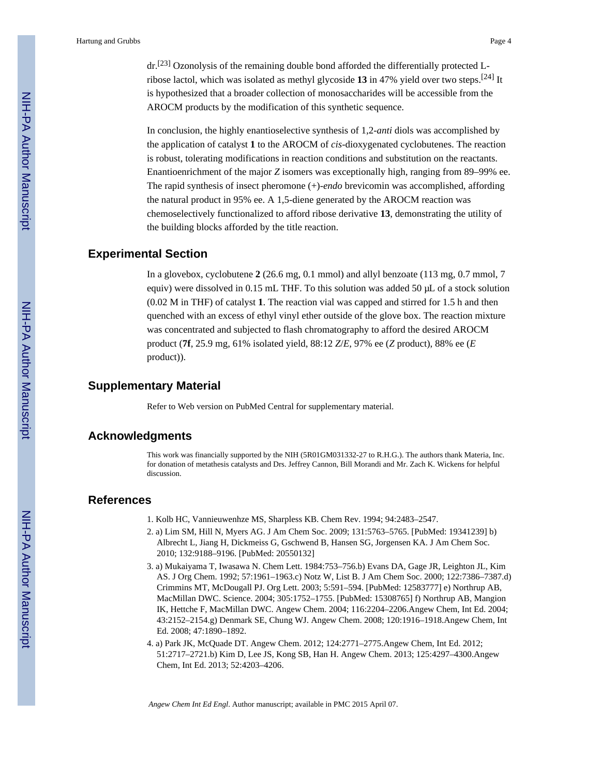dr.[23] Ozonolysis of the remaining double bond afforded the differentially protected Lribose lactol, which was isolated as methyl glycoside **13** in 47% yield over two steps.[24] It is hypothesized that a broader collection of monosaccharides will be accessible from the AROCM products by the modification of this synthetic sequence.

In conclusion, the highly enantioselective synthesis of 1,2-*anti* diols was accomplished by the application of catalyst **1** to the AROCM of *cis*-dioxygenated cyclobutenes. The reaction is robust, tolerating modifications in reaction conditions and substitution on the reactants. Enantioenrichment of the major *Z* isomers was exceptionally high, ranging from 89–99% ee. The rapid synthesis of insect pheromone (+)-*endo* brevicomin was accomplished, affording the natural product in 95% ee. A 1,5-diene generated by the AROCM reaction was chemoselectively functionalized to afford ribose derivative **13**, demonstrating the utility of the building blocks afforded by the title reaction.

#### **Experimental Section**

In a glovebox, cyclobutene **2** (26.6 mg, 0.1 mmol) and allyl benzoate (113 mg, 0.7 mmol, 7 equiv) were dissolved in 0.15 mL THF. To this solution was added 50 μL of a stock solution (0.02 M in THF) of catalyst **1**. The reaction vial was capped and stirred for 1.5 h and then quenched with an excess of ethyl vinyl ether outside of the glove box. The reaction mixture was concentrated and subjected to flash chromatography to afford the desired AROCM product (**7f**, 25.9 mg, 61% isolated yield, 88:12 *Z*/*E*, 97% ee (*Z* product), 88% ee (*E* product)).

#### **Supplementary Material**

Refer to Web version on PubMed Central for supplementary material.

### **Acknowledgments**

This work was financially supported by the NIH (5R01GM031332-27 to R.H.G.). The authors thank Materia, Inc. for donation of metathesis catalysts and Drs. Jeffrey Cannon, Bill Morandi and Mr. Zach K. Wickens for helpful discussion.

#### **References**

- 1. Kolb HC, Vannieuwenhze MS, Sharpless KB. Chem Rev. 1994; 94:2483–2547.
- 2. a) Lim SM, Hill N, Myers AG. J Am Chem Soc. 2009; 131:5763–5765. [PubMed: 19341239] b) Albrecht L, Jiang H, Dickmeiss G, Gschwend B, Hansen SG, Jorgensen KA. J Am Chem Soc. 2010; 132:9188–9196. [PubMed: 20550132]
- 3. a) Mukaiyama T, Iwasawa N. Chem Lett. 1984:753–756.b) Evans DA, Gage JR, Leighton JL, Kim AS. J Org Chem. 1992; 57:1961–1963.c) Notz W, List B. J Am Chem Soc. 2000; 122:7386–7387.d) Crimmins MT, McDougall PJ. Org Lett. 2003; 5:591–594. [PubMed: 12583777] e) Northrup AB, MacMillan DWC. Science. 2004; 305:1752–1755. [PubMed: 15308765] f) Northrup AB, Mangion IK, Hettche F, MacMillan DWC. Angew Chem. 2004; 116:2204–2206.Angew Chem, Int Ed. 2004; 43:2152–2154.g) Denmark SE, Chung WJ. Angew Chem. 2008; 120:1916–1918.Angew Chem, Int Ed. 2008; 47:1890–1892.
- 4. a) Park JK, McQuade DT. Angew Chem. 2012; 124:2771–2775.Angew Chem, Int Ed. 2012; 51:2717–2721.b) Kim D, Lee JS, Kong SB, Han H. Angew Chem. 2013; 125:4297–4300.Angew Chem, Int Ed. 2013; 52:4203–4206.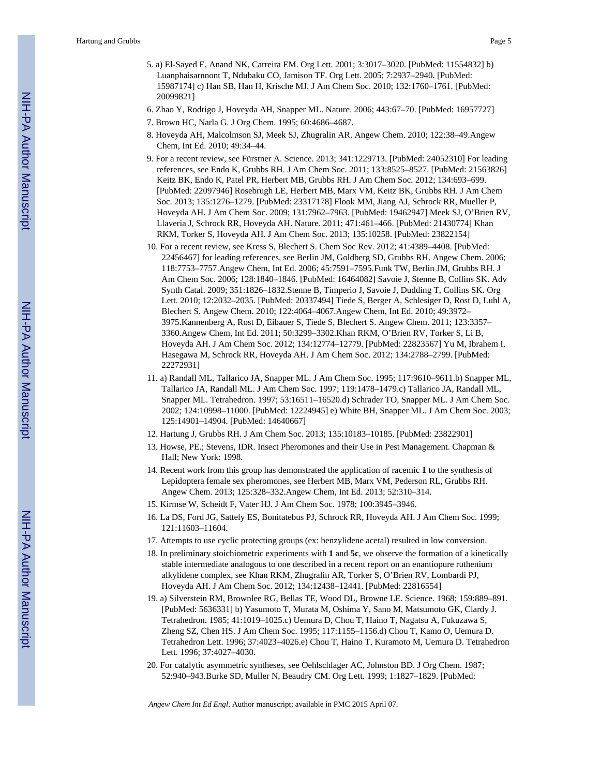- 5. a) El-Sayed E, Anand NK, Carreira EM. Org Lett. 2001; 3:3017–3020. [PubMed: 11554832] b) Luanphaisarnnont T, Ndubaku CO, Jamison TF. Org Lett. 2005; 7:2937–2940. [PubMed: 15987174] c) Han SB, Han H, Krische MJ. J Am Chem Soc. 2010; 132:1760–1761. [PubMed: 20099821]
- 6. Zhao Y, Rodrigo J, Hoveyda AH, Snapper ML. Nature. 2006; 443:67–70. [PubMed: 16957727]
- 7. Brown HC, Narla G. J Org Chem. 1995; 60:4686–4687.
- 8. Hoveyda AH, Malcolmson SJ, Meek SJ, Zhugralin AR. Angew Chem. 2010; 122:38–49.Angew Chem, Int Ed. 2010; 49:34–44.
- 9. For a recent review, see Fürstner A. Science. 2013; 341:1229713. [PubMed: 24052310] For leading references, see Endo K, Grubbs RH. J Am Chem Soc. 2011; 133:8525–8527. [PubMed: 21563826] Keitz BK, Endo K, Patel PR, Herbert MB, Grubbs RH. J Am Chem Soc. 2012; 134:693–699. [PubMed: 22097946] Rosebrugh LE, Herbert MB, Marx VM, Keitz BK, Grubbs RH. J Am Chem Soc. 2013; 135:1276–1279. [PubMed: 23317178] Flook MM, Jiang AJ, Schrock RR, Mueller P, Hoveyda AH. J Am Chem Soc. 2009; 131:7962–7963. [PubMed: 19462947] Meek SJ, O'Brien RV, Llaveria J, Schrock RR, Hoveyda AH. Nature. 2011; 471:461–466. [PubMed: 21430774] Khan RKM, Torker S, Hoveyda AH. J Am Chem Soc. 2013; 135:10258. [PubMed: 23822154]
- 10. For a recent review, see Kress S, Blechert S. Chem Soc Rev. 2012; 41:4389–4408. [PubMed: 22456467] for leading references, see Berlin JM, Goldberg SD, Grubbs RH. Angew Chem. 2006; 118:7753–7757.Angew Chem, Int Ed. 2006; 45:7591–7595.Funk TW, Berlin JM, Grubbs RH. J Am Chem Soc. 2006; 128:1840–1846. [PubMed: 16464082] Savoie J, Stenne B, Collins SK. Adv Synth Catal. 2009; 351:1826–1832.Stenne B, Timperio J, Savoie J, Dudding T, Collins SK. Org Lett. 2010; 12:2032–2035. [PubMed: 20337494] Tiede S, Berger A, Schlesiger D, Rost D, Luhl A, Blechert S. Angew Chem. 2010; 122:4064–4067.Angew Chem, Int Ed. 2010; 49:3972– 3975.Kannenberg A, Rost D, Eibauer S, Tiede S, Blechert S. Angew Chem. 2011; 123:3357– 3360.Angew Chem, Int Ed. 2011; 50:3299–3302.Khan RKM, O'Brien RV, Torker S, Li B, Hoveyda AH. J Am Chem Soc. 2012; 134:12774–12779. [PubMed: 22823567] Yu M, Ibrahem I, Hasegawa M, Schrock RR, Hoveyda AH. J Am Chem Soc. 2012; 134:2788–2799. [PubMed: 22272931]
- 11. a) Randall ML, Tallarico JA, Snapper ML. J Am Chem Soc. 1995; 117:9610–9611.b) Snapper ML, Tallarico JA, Randall ML. J Am Chem Soc. 1997; 119:1478–1479.c) Tallarico JA, Randall ML, Snapper ML. Tetrahedron. 1997; 53:16511–16520.d) Schrader TO, Snapper ML. J Am Chem Soc. 2002; 124:10998–11000. [PubMed: 12224945] e) White BH, Snapper ML. J Am Chem Soc. 2003; 125:14901–14904. [PubMed: 14640667]
- 12. Hartung J, Grubbs RH. J Am Chem Soc. 2013; 135:10183–10185. [PubMed: 23822901]
- 13. Howse, PE.; Stevens, IDR. Insect Pheromones and their Use in Pest Management. Chapman & Hall; New York: 1998.
- 14. Recent work from this group has demonstrated the application of racemic **1** to the synthesis of Lepidoptera female sex pheromones, see Herbert MB, Marx VM, Pederson RL, Grubbs RH. Angew Chem. 2013; 125:328–332.Angew Chem, Int Ed. 2013; 52:310–314.
- 15. Kirmse W, Scheidt F, Vater HJ. J Am Chem Soc. 1978; 100:3945–3946.
- 16. La DS, Ford JG, Sattely ES, Bonitatebus PJ, Schrock RR, Hoveyda AH. J Am Chem Soc. 1999; 121:11603–11604.
- 17. Attempts to use cyclic protecting groups (ex: benzylidene acetal) resulted in low conversion.
- 18. In preliminary stoichiometric experiments with **1** and **5c**, we observe the formation of a kinetically stable intermediate analogous to one described in a recent report on an enantiopure ruthenium alkylidene complex, see Khan RKM, Zhugralin AR, Torker S, O'Brien RV, Lombardi PJ, Hoveyda AH. J Am Chem Soc. 2012; 134:12438–12441. [PubMed: 22816554]
- 19. a) Silverstein RM, Brownlee RG, Bellas TE, Wood DL, Browne LE. Science. 1968; 159:889–891. [PubMed: 5636331] b) Yasumoto T, Murata M, Oshima Y, Sano M, Matsumoto GK, Clardy J. Tetrahedron. 1985; 41:1019–1025.c) Uemura D, Chou T, Haino T, Nagatsu A, Fukuzawa S, Zheng SZ, Chen HS. J Am Chem Soc. 1995; 117:1155–1156.d) Chou T, Kamo O, Uemura D. Tetrahedron Lett. 1996; 37:4023–4026.e) Chou T, Haino T, Kuramoto M, Uemura D. Tetrahedron Lett. 1996; 37:4027–4030.
- 20. For catalytic asymmetric syntheses, see Oehlschlager AC, Johnston BD. J Org Chem. 1987; 52:940–943.Burke SD, Muller N, Beaudry CM. Org Lett. 1999; 1:1827–1829. [PubMed: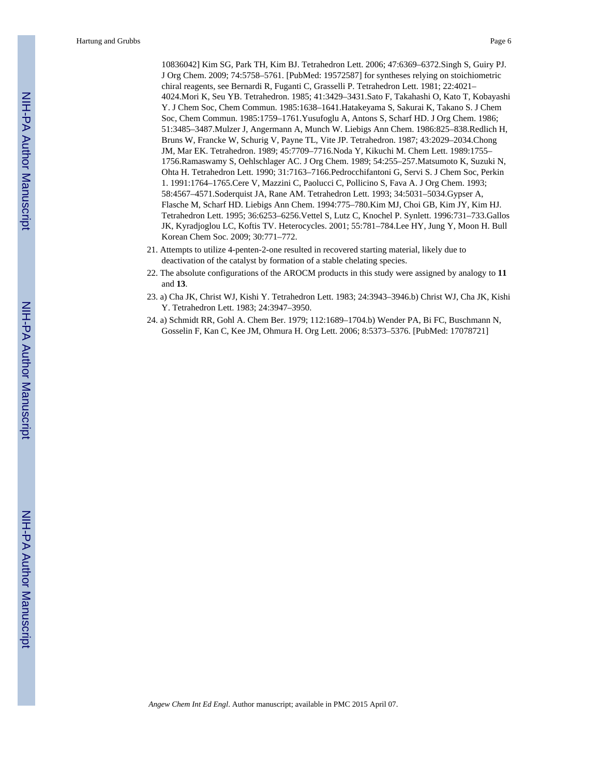10836042] Kim SG, Park TH, Kim BJ. Tetrahedron Lett. 2006; 47:6369–6372.Singh S, Guiry PJ. J Org Chem. 2009; 74:5758–5761. [PubMed: 19572587] for syntheses relying on stoichiometric chiral reagents, see Bernardi R, Fuganti C, Grasselli P. Tetrahedron Lett. 1981; 22:4021– 4024.Mori K, Seu YB. Tetrahedron. 1985; 41:3429–3431.Sato F, Takahashi O, Kato T, Kobayashi Y. J Chem Soc, Chem Commun. 1985:1638–1641.Hatakeyama S, Sakurai K, Takano S. J Chem Soc, Chem Commun. 1985:1759–1761.Yusufoglu A, Antons S, Scharf HD. J Org Chem. 1986; 51:3485–3487.Mulzer J, Angermann A, Munch W. Liebigs Ann Chem. 1986:825–838.Redlich H, Bruns W, Francke W, Schurig V, Payne TL, Vite JP. Tetrahedron. 1987; 43:2029–2034.Chong JM, Mar EK. Tetrahedron. 1989; 45:7709–7716.Noda Y, Kikuchi M. Chem Lett. 1989:1755– 1756.Ramaswamy S, Oehlschlager AC. J Org Chem. 1989; 54:255–257.Matsumoto K, Suzuki N, Ohta H. Tetrahedron Lett. 1990; 31:7163–7166.Pedrocchifantoni G, Servi S. J Chem Soc, Perkin 1. 1991:1764–1765.Cere V, Mazzini C, Paolucci C, Pollicino S, Fava A. J Org Chem. 1993; 58:4567–4571.Soderquist JA, Rane AM. Tetrahedron Lett. 1993; 34:5031–5034.Gypser A, Flasche M, Scharf HD. Liebigs Ann Chem. 1994:775–780.Kim MJ, Choi GB, Kim JY, Kim HJ. Tetrahedron Lett. 1995; 36:6253–6256.Vettel S, Lutz C, Knochel P. Synlett. 1996:731–733.Gallos JK, Kyradjoglou LC, Koftis TV. Heterocycles. 2001; 55:781–784.Lee HY, Jung Y, Moon H. Bull Korean Chem Soc. 2009; 30:771–772.

- 21. Attempts to utilize 4-penten-2-one resulted in recovered starting material, likely due to deactivation of the catalyst by formation of a stable chelating species.
- 22. The absolute configurations of the AROCM products in this study were assigned by analogy to **11** and **13**.
- 23. a) Cha JK, Christ WJ, Kishi Y. Tetrahedron Lett. 1983; 24:3943–3946.b) Christ WJ, Cha JK, Kishi Y. Tetrahedron Lett. 1983; 24:3947–3950.
- 24. a) Schmidt RR, Gohl A. Chem Ber. 1979; 112:1689–1704.b) Wender PA, Bi FC, Buschmann N, Gosselin F, Kan C, Kee JM, Ohmura H. Org Lett. 2006; 8:5373–5376. [PubMed: 17078721]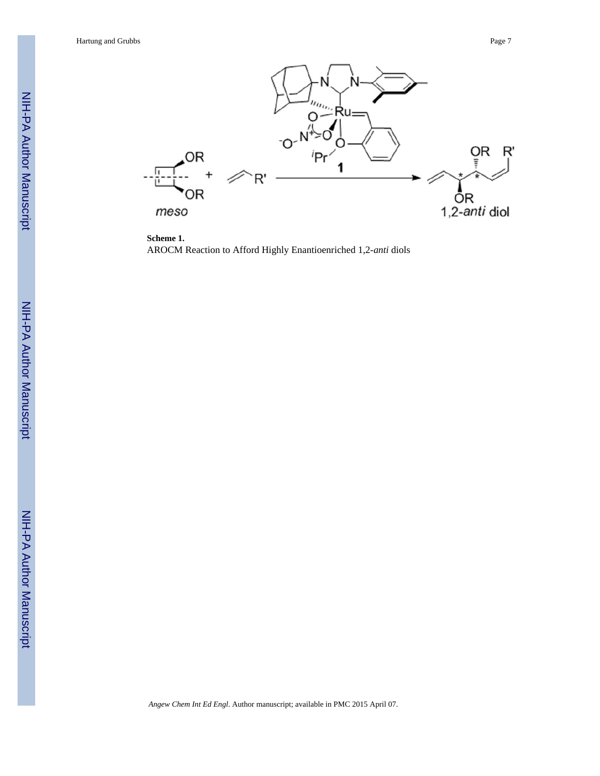

**Scheme 1.** AROCM Reaction to Afford Highly Enantioenriched 1,2-*anti* diols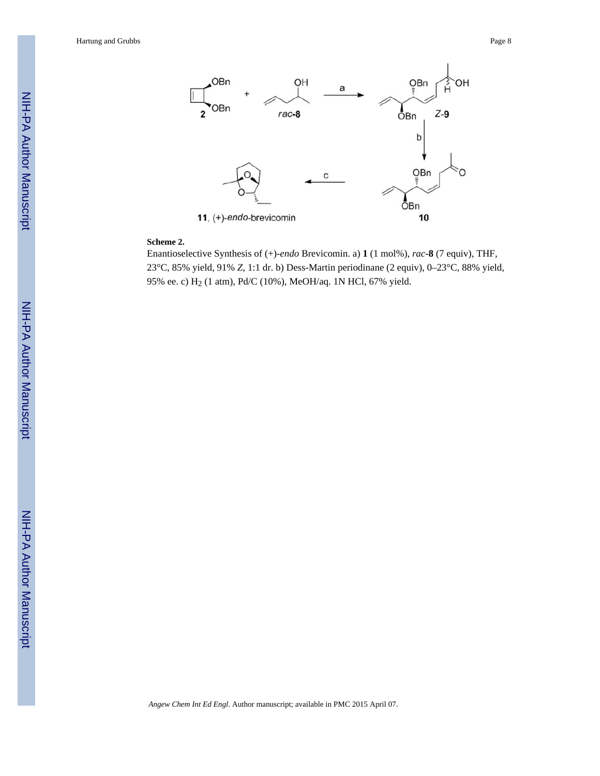

#### **Scheme 2.**

Enantioselective Synthesis of (+)-*endo* Brevicomin. a) **1** (1 mol%), *rac*-**8** (7 equiv), THF, 23°C, 85% yield, 91% *Z*, 1:1 dr. b) Dess-Martin periodinane (2 equiv), 0–23°C, 88% yield, 95% ee. c) H<sub>2</sub> (1 atm), Pd/C (10%), MeOH/aq. 1N HCl, 67% yield.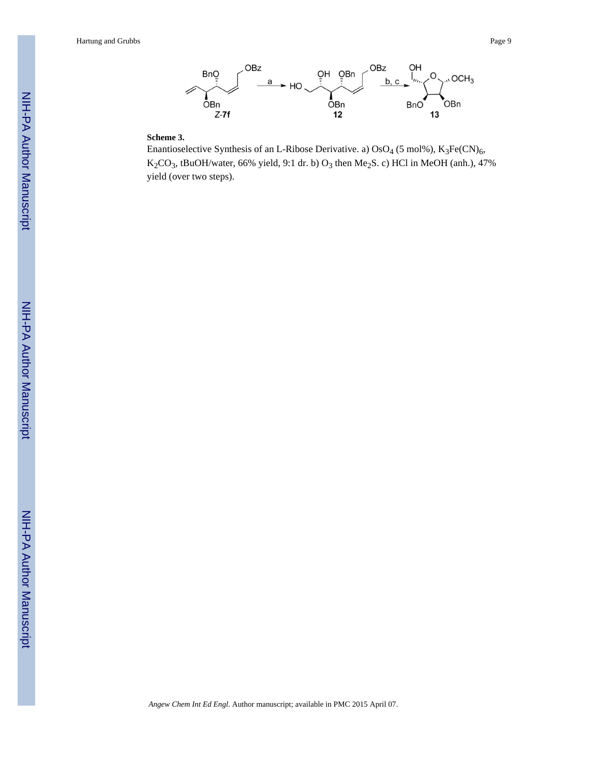

#### **Scheme 3.**

Enantioselective Synthesis of an L-Ribose Derivative. a)  $OsO<sub>4</sub>$  (5 mol%), K<sub>3</sub>Fe(CN)<sub>6</sub>,  $K_2CO_3$ , tBuOH/water, 66% yield, 9:1 dr. b)  $O_3$  then Me<sub>2</sub>S. c) HCl in MeOH (anh.), 47% yield (over two steps).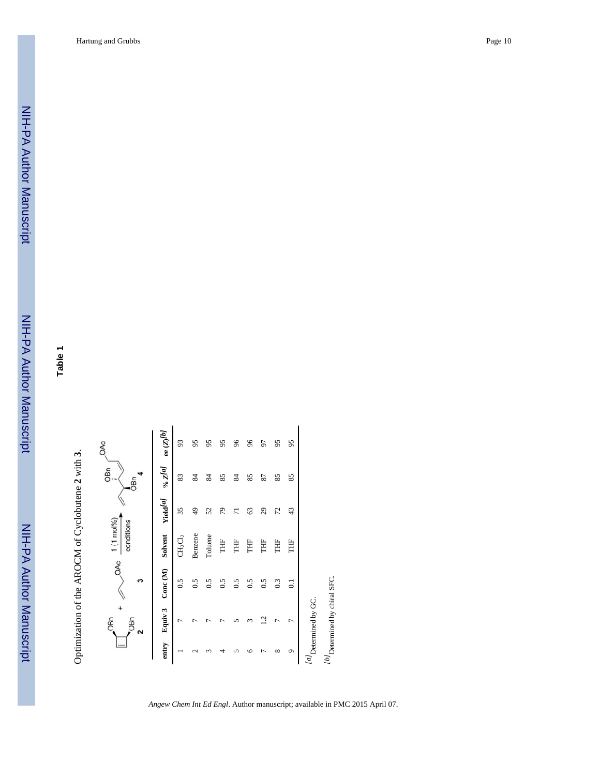NIH-PA Author ManuscriptNIH-PA Author Manuscript

NIH-PA Author Manuscript

NIH-PA Author Manuscript

**Table 1**

Optimization of the AROCM of Cyclobutene **2** with **3**.

|                  | OB <sub>n</sub><br><b>OBn</b><br>2 | OAC<br>ς       | $1(1 \text{ mol}\%)$<br>conditions |                            | $\overline{\mathsf{g}}_{\scriptscriptstyle{\mathsf{I\!I\!I}}\scriptscriptstyle{\mathsf{I}}}$<br>DBn | OAC                     |
|------------------|------------------------------------|----------------|------------------------------------|----------------------------|-----------------------------------------------------------------------------------------------------|-------------------------|
| entry            | Equiv 3                            | Conc(M)        | Solvent                            | <b>Yield<sup>[a]</sup></b> | $\mathfrak{o}_\ell$ z<br>[a]                                                                        | ee $(\mathbb{Z})^{[b]}$ |
|                  | ┍                                  | 0.5            | $CH_2Cl_2$                         | 35                         | 83                                                                                                  | 93                      |
| $\mathrel{\sim}$ |                                    | 0.5            | Benzene                            | $\frac{1}{2}$              | 84                                                                                                  | 95                      |
|                  |                                    | 0.5            | Toluene                            | 52                         | 84                                                                                                  | 95                      |
|                  |                                    | 0.5            | THF                                | 56                         | 85                                                                                                  | 95                      |
|                  |                                    | 0.5            | THF                                | ᄃ                          | 84                                                                                                  | 66                      |
| ≌                |                                    | 0.5            | Ë                                  | 63                         | 85                                                                                                  | 96                      |
|                  | Ċ                                  | 0.5            | Ë                                  | 29                         | 87                                                                                                  | 50                      |
| ∞                |                                    | 0.3            | Ë                                  | 72                         | 85                                                                                                  | 95                      |
| $\sigma$         | Γ                                  | $\overline{0}$ | Ë                                  | 43                         | 85                                                                                                  | 95                      |
|                  | $l$ al Determined by GC.           |                |                                    |                            |                                                                                                     |                         |
|                  | $[b]$ Determined by chiral SFC.    |                |                                    |                            |                                                                                                     |                         |
|                  |                                    |                |                                    |                            |                                                                                                     |                         |
|                  |                                    |                |                                    |                            |                                                                                                     |                         |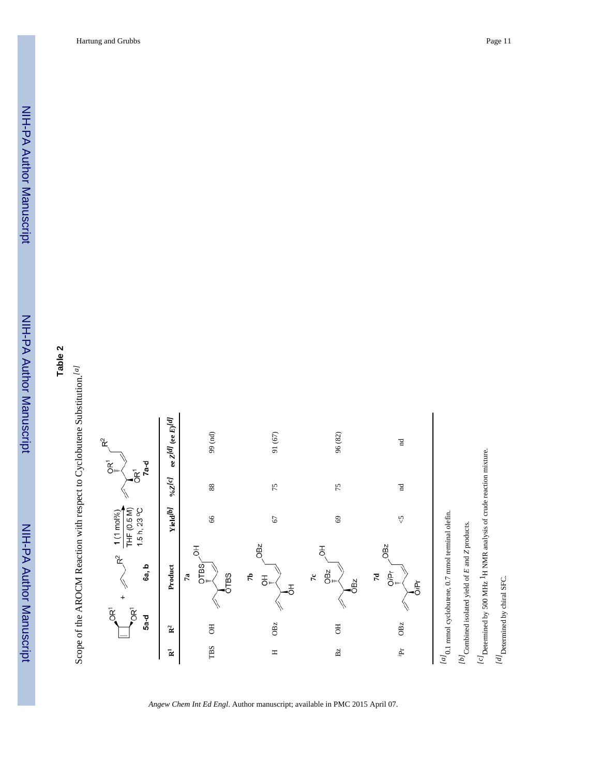NIH-PA Author Manuscript

NIH-PA Author Manuscript





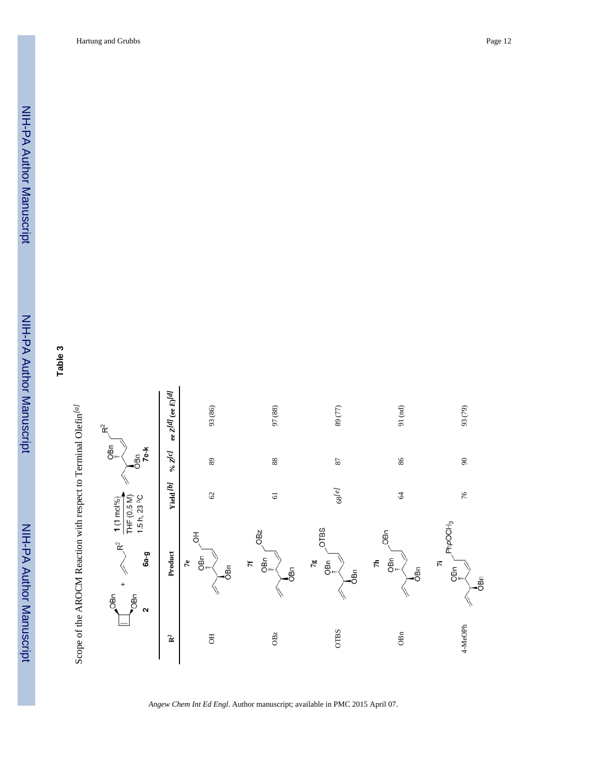NIH-PA Author ManuscriptNIH-PA Author Manuscript

NIH-PA Author Manuscript

NIH-PA Author Manuscript